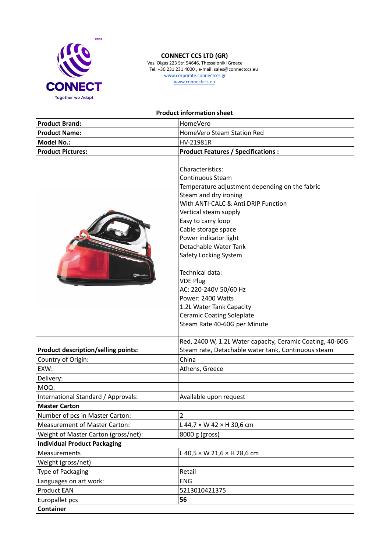

## **CONNECT CCS LTD (GR)**

Vas. Olgas 223 Str. 54646, Thessaloniki Greece Tel. +30 231 231 4000 , e-mail: sales@connectccs.eu www.corporate.connectccs.gr www.connectccs.eu

## **Product information sheet**

| <b>Product Brand:</b>                      | HomeVero                                                                                                                                                                                                                                                                                                                                                                                                                                                                                           |
|--------------------------------------------|----------------------------------------------------------------------------------------------------------------------------------------------------------------------------------------------------------------------------------------------------------------------------------------------------------------------------------------------------------------------------------------------------------------------------------------------------------------------------------------------------|
| <b>Product Name:</b>                       | HomeVero Steam Station Red                                                                                                                                                                                                                                                                                                                                                                                                                                                                         |
| <b>Model No.:</b>                          | HV-21981R                                                                                                                                                                                                                                                                                                                                                                                                                                                                                          |
| <b>Product Pictures:</b>                   | <b>Product Features / Specifications:</b>                                                                                                                                                                                                                                                                                                                                                                                                                                                          |
| <b>HomeVerd</b>                            | Characteristics:<br><b>Continuous Steam</b><br>Temperature adjustment depending on the fabric<br>Steam and dry ironing<br>With ANTI-CALC & Anti DRIP Function<br>Vertical steam supply<br>Easy to carry loop<br>Cable storage space<br>Power indicator light<br>Detachable Water Tank<br>Safety Locking System<br>Technical data:<br><b>VDE Plug</b><br>AC: 220-240V 50/60 Hz<br>Power: 2400 Watts<br>1.2L Water Tank Capacity<br><b>Ceramic Coating Soleplate</b><br>Steam Rate 40-60G per Minute |
| <b>Product description/selling points:</b> | Red, 2400 W, 1.2L Water capacity, Ceramic Coating, 40-60G<br>Steam rate, Detachable water tank, Continuous steam                                                                                                                                                                                                                                                                                                                                                                                   |
| Country of Origin:                         | China                                                                                                                                                                                                                                                                                                                                                                                                                                                                                              |
| EXW:                                       | Athens, Greece                                                                                                                                                                                                                                                                                                                                                                                                                                                                                     |
| Delivery:                                  |                                                                                                                                                                                                                                                                                                                                                                                                                                                                                                    |
| MOQ:                                       |                                                                                                                                                                                                                                                                                                                                                                                                                                                                                                    |
| International Standard / Approvals:        | Available upon request                                                                                                                                                                                                                                                                                                                                                                                                                                                                             |
| <b>Master Carton</b>                       |                                                                                                                                                                                                                                                                                                                                                                                                                                                                                                    |
| Number of pcs in Master Carton:            | 2                                                                                                                                                                                                                                                                                                                                                                                                                                                                                                  |
| <b>Measurement of Master Carton:</b>       | L 44,7 $\times$ W 42 $\times$ H 30,6 cm                                                                                                                                                                                                                                                                                                                                                                                                                                                            |
| Weight of Master Carton (gross/net):       | 8000 g (gross)                                                                                                                                                                                                                                                                                                                                                                                                                                                                                     |
| <b>Individual Product Packaging</b>        |                                                                                                                                                                                                                                                                                                                                                                                                                                                                                                    |
| <b>Measurements</b>                        | L 40,5 $\times$ W 21,6 $\times$ H 28,6 cm                                                                                                                                                                                                                                                                                                                                                                                                                                                          |
| Weight (gross/net)                         |                                                                                                                                                                                                                                                                                                                                                                                                                                                                                                    |
| Type of Packaging                          | Retail                                                                                                                                                                                                                                                                                                                                                                                                                                                                                             |
| Languages on art work:                     | <b>ENG</b>                                                                                                                                                                                                                                                                                                                                                                                                                                                                                         |
| <b>Product EAN</b>                         | 5213010421375                                                                                                                                                                                                                                                                                                                                                                                                                                                                                      |
| Europallet pcs                             | 56                                                                                                                                                                                                                                                                                                                                                                                                                                                                                                 |
| <b>Container</b>                           |                                                                                                                                                                                                                                                                                                                                                                                                                                                                                                    |